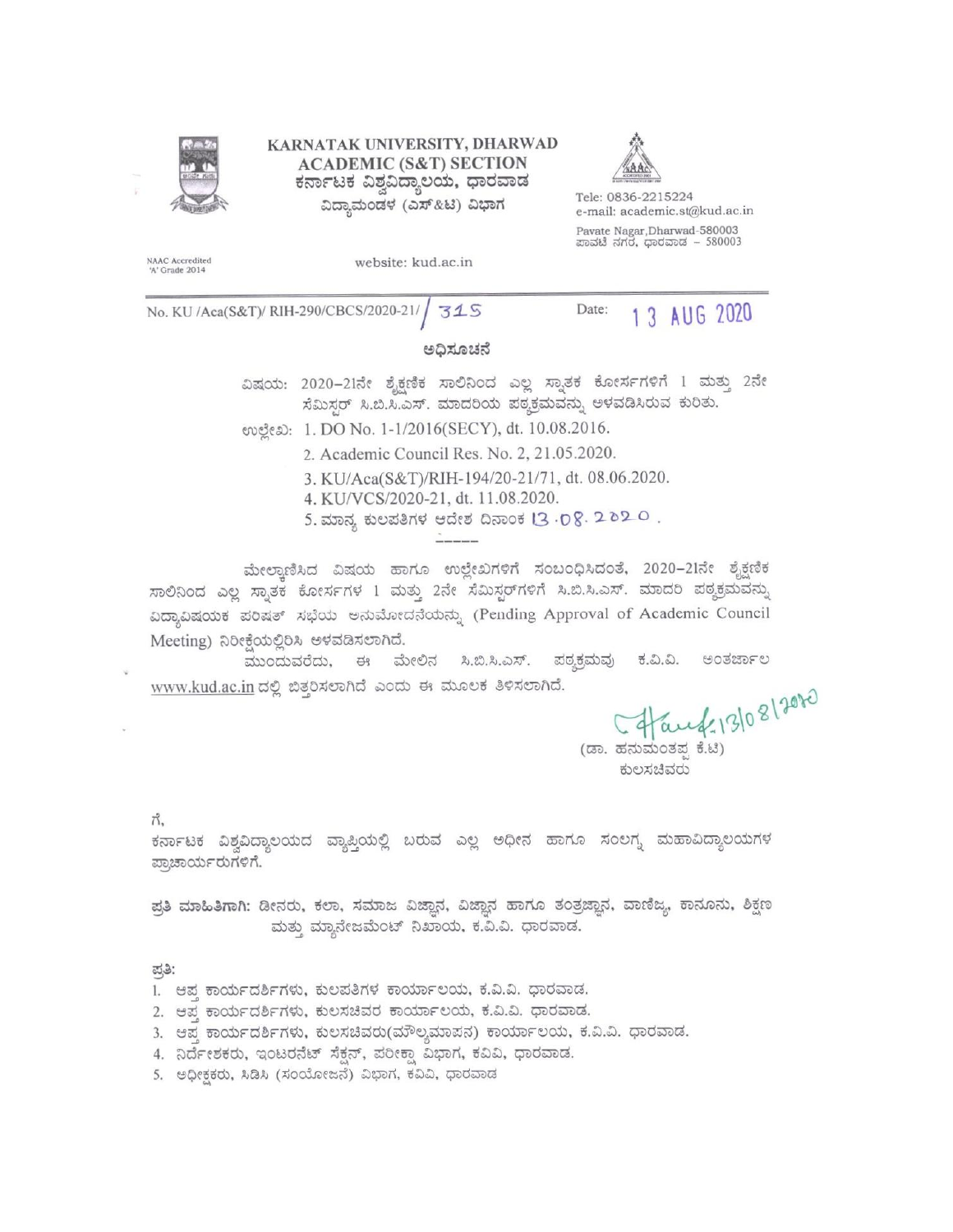

KARNATAK UNIVERSITY, DHARWAD **ACADEMIC (S&T) SECTION** ಕರ್ನಾಟಕ ವಿಶ್ವವಿದ್ಯಾಲಯ, ಧಾರವಾಡ ವಿದ್ಯಾಮಂಡಳ (ಎಸ್&ಟಿ) ವಿಭಾಗ



Tele: 0836-2215224 e-mail: academic.st@kud.ac.in Pavate Nagar, Dharwad-580003 ಪಾವಟೆ ನಗರ, ಧಾರವಾಡ – 580003

NAAC Accredited<br>'A' Grade 2014

website: kud.ac.in

No. KU /Aca(S&T)/ RIH-290/CBCS/2020-21/ 315

Date: 1 3 AUG 2020

#### ಅಧಿಸೂಚನೆ

ವಿಷಯ: 2020-21ನೇ ಶೈಕ್ಷಣಿಕ ಸಾಲಿನಿಂದ ಎಲ್ಲ ಸ್ನಾತಕ ಕೋರ್ಸಗಳಿಗೆ 1 ಮತ್ತು 2ನೇ ಸೆಮಿಸ್ಟರ್ ಸಿ.ಬಿ.ಸಿ.ಎಸ್. ಮಾದರಿಯ ಪಠ್ಯಕ್ರಮವನ್ನು ಅಳವಡಿಸಿರುವ ಕುರಿತು.

eveca: 1. DO No. 1-1/2016(SECY), dt. 10.08.2016.

- 2. Academic Council Res. No. 2, 21.05.2020.
- 3. KU/Aca(S&T)/RIH-194/20-21/71, dt. 08.06.2020.
- 4. KU/VCS/2020-21, dt. 11.08.2020.
- 5. ಮಾನ್ಯ ಕುಲಪತಿಗಳ ಆದೇಶ ದಿನಾಂಕ 13 . p 8. 2 b 2 0.

ಮೇಲ್ಪಾಣಿಸಿದ ವಿಷಯ ಹಾಗೂ ಉಲ್ಲೇಖಗಳಿಗೆ ಸಂಬಂಧಿಸಿದಂತೆ, 2020–21ನೇ ಶೈಕ್ಷಣಿಕ ಸಾಲಿನಿಂದ ಎಲ್ಲ ಸ್ನಾತಕ ಕೋರ್ಸಗಳ 1 ಮತ್ತು 2ನೇ ಸೆಮಿಸ್ಟರ್ಗಳಿಗೆ ಸಿ.ಬಿ.ಸಿ.ಎಸ್. ಮಾದರಿ ಪಠ್ಮಕ್ರಮವನ್ನು ವಿದ್ಯಾವಿಷಯಕ ಪರಿಷತ್ ಸಭೆಯ ಅನುಮೋದನೆಯನ್ನು (Pending Approval of Academic Council Meeting) ನಿರೀಕೆಯಲ್ಲಿರಿಸಿ ಅಳವಡಿಸಲಾಗಿದೆ.

ಮುಂದುವರೆದು, ಈ ಮೇಲಿನ ಸಿ.ಬಿ.ಸಿ.ಎಸ್. ಪಠ್ಯಕ್ರಮವು ಅಂತರ್ಜಾಲ ಕ.ವಿ.ವಿ. www.kud.ac.in ದಲ್ಲಿ ಬಿತ್ತರಿಸಲಾಗಿದೆ ಎಂದು ಈ ಮೂಲಕ ತಿಳಿಸಲಾಗಿದೆ.

ed=13/08/2020

(ಡಾ. ಹನುಮಂತಪ ಕೆ.ಟಿ) ಕುಲಸಚಿವರು

ಗೆ,

ಕರ್ನಾಟಕ ವಿಶ್ವವಿದ್ಯಾಲಯದ ವ್ಯಾಪ್ತಿಯಲ್ಲಿ ಬರುವ ಎಲ್ಲ ಅಧೀನ ಹಾಗೂ ಸಂಲಗ್ಯ ಮಹಾವಿದ್ಯಾಲಯಗಳ ಪ್ರಾಚಾರ್ಯರುಗಳಿಗೆ.

ಪ್ರತಿ ಮಾಹಿತಿಗಾಗಿ: ಡೀನರು, ಕಲಾ, ಸಮಾಜ ವಿಜ್ಞಾನ, ವಿಜ್ಞಾನ ಹಾಗೂ ತಂತ್ರಜ್ಞಾನ, ವಾಣಿಜ್ಯ, ಕಾನೂನು, ಶಿಕ್ಷಣ ಮತ್ತು ಮ್ಯಾನೇಜಮೆಂಟ್ ನಿಖಾಯ, ಕ.ವಿ.ವಿ. ಧಾರವಾಡ.

ಪತಿ:

- 1. ಆಪ್ತ ಕಾರ್ಯದರ್ಶಿಗಳು, ಕುಲಪತಿಗಳ ಕಾರ್ಯಾಲಯ, ಕ.ವಿ.ವಿ. ಧಾರವಾಡ.
- 2. ಆಪ್ತ ಕಾರ್ಯದರ್ಶಿಗಳು, ಕುಲಸಚಿವರ ಕಾರ್ಯಾಲಯ, ಕ.ವಿ.ವಿ. ಧಾರವಾಡ.
- 3. ಆಪ್ತ ಕಾರ್ಯದರ್ಶಿಗಳು, ಕುಲಸಚಿವರು(ಮೌಲ್ಯಮಾಪನ) ಕಾರ್ಯಾಲಯ, ಕ.ವಿ.ವಿ. ಧಾರವಾಡ.
- 4. ನಿರ್ದೇಶಕರು, ಇಂಟರನೆಟ್ ಸೆಕ್ಷನ್, ಪರೀಕ್ಷಾ ವಿಭಾಗ, ಕವಿವಿ, ಧಾರವಾಡ.
- 5. ಅಧೀಕ್ಷಕರು, ಸಿಡಿಸಿ (ಸಂಯೋಜನೆ) ವಿಭಾಗ, ಕವಿವಿ, ಧಾರವಾಡ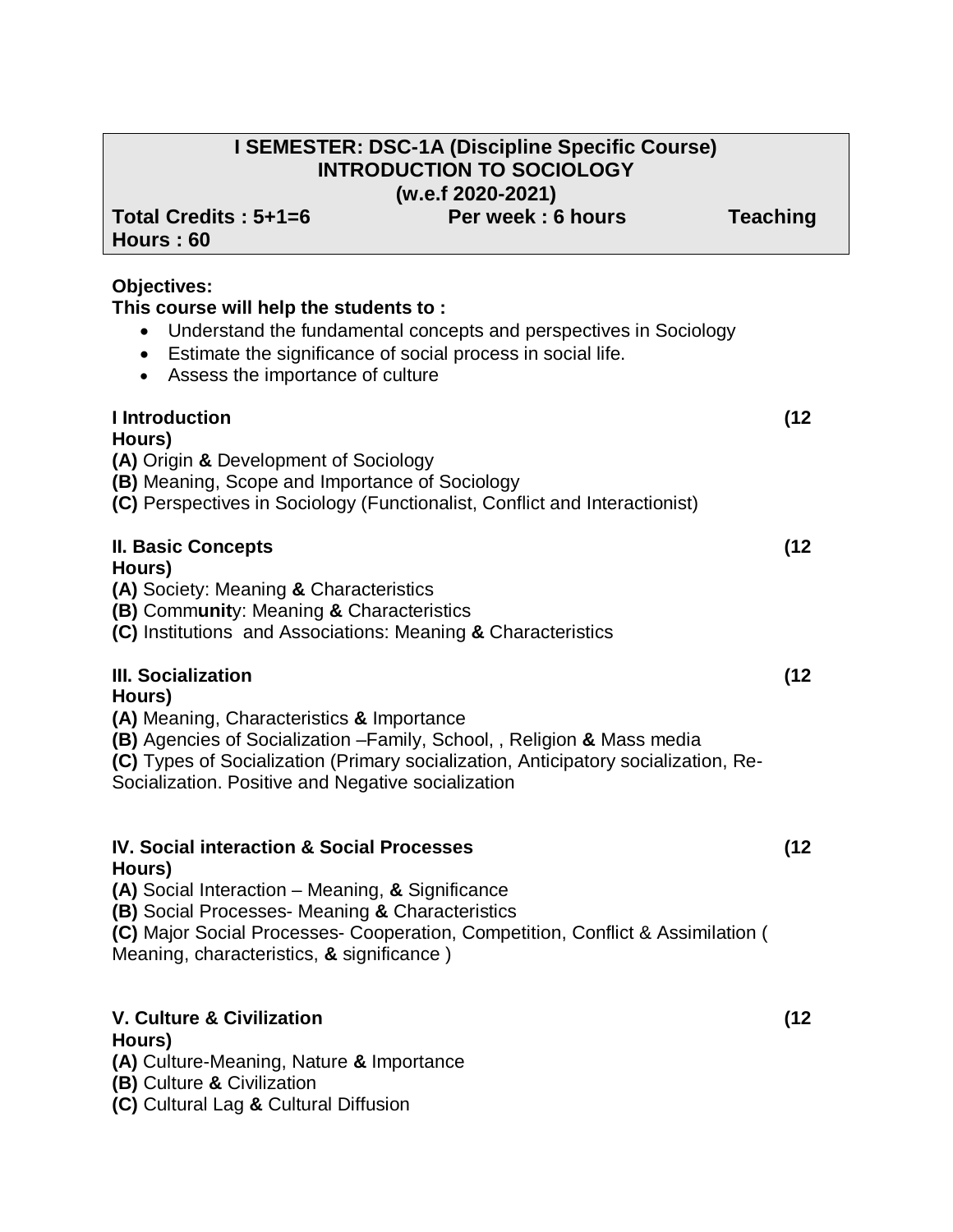# **I SEMESTER: DSC-1A (Discipline Specific Course) INTRODUCTION TO SOCIOLOGY (w.e.f 2020-2021)** Total Credits : 5+1=6 **Per week : 6 hours Teaching Hours : 60 Objectives: This course will help the students to :**  Understand the fundamental concepts and perspectives in Sociology Estimate the significance of social process in social life. Assess the importance of culture **I Introduction (12 Hours) (A)** Origin **&** Development of Sociology **(B)** Meaning, Scope and Importance of Sociology **(C)** Perspectives in Sociology (Functionalist, Conflict and Interactionist) **II. Basic Concepts (12**

### **Hours)**

- **(A)** Society: Meaning **&** Characteristics
- **(B)** Comm**unit**y: Meaning **&** Characteristics
- **(C)** Institutions and Associations: Meaning **&** Characteristics

# **III. Socialization (12**

#### **Hours)**

- **(A)** Meaning, Characteristics **&** Importance
- **(B)** Agencies of Socialization –Family, School, , Religion **&** Mass media
- **(C)** Types of Socialization (Primary socialization, Anticipatory socialization, Re-

Socialization. Positive and Negative socialization

#### **IV. Social interaction & Social Processes (12 Hours)**

**(A)** Social Interaction – Meaning, **&** Significance

**(B)** Social Processes- Meaning **&** Characteristics

**(C)** Major Social Processes- Cooperation, Competition, Conflict & Assimilation ( Meaning, characteristics, **&** significance )

# **V. Culture & Civilization (12 Hours)**

**(A)** Culture-Meaning, Nature **&** Importance

**(B)** Culture **&** Civilization

**(C)** Cultural Lag **&** Cultural Diffusion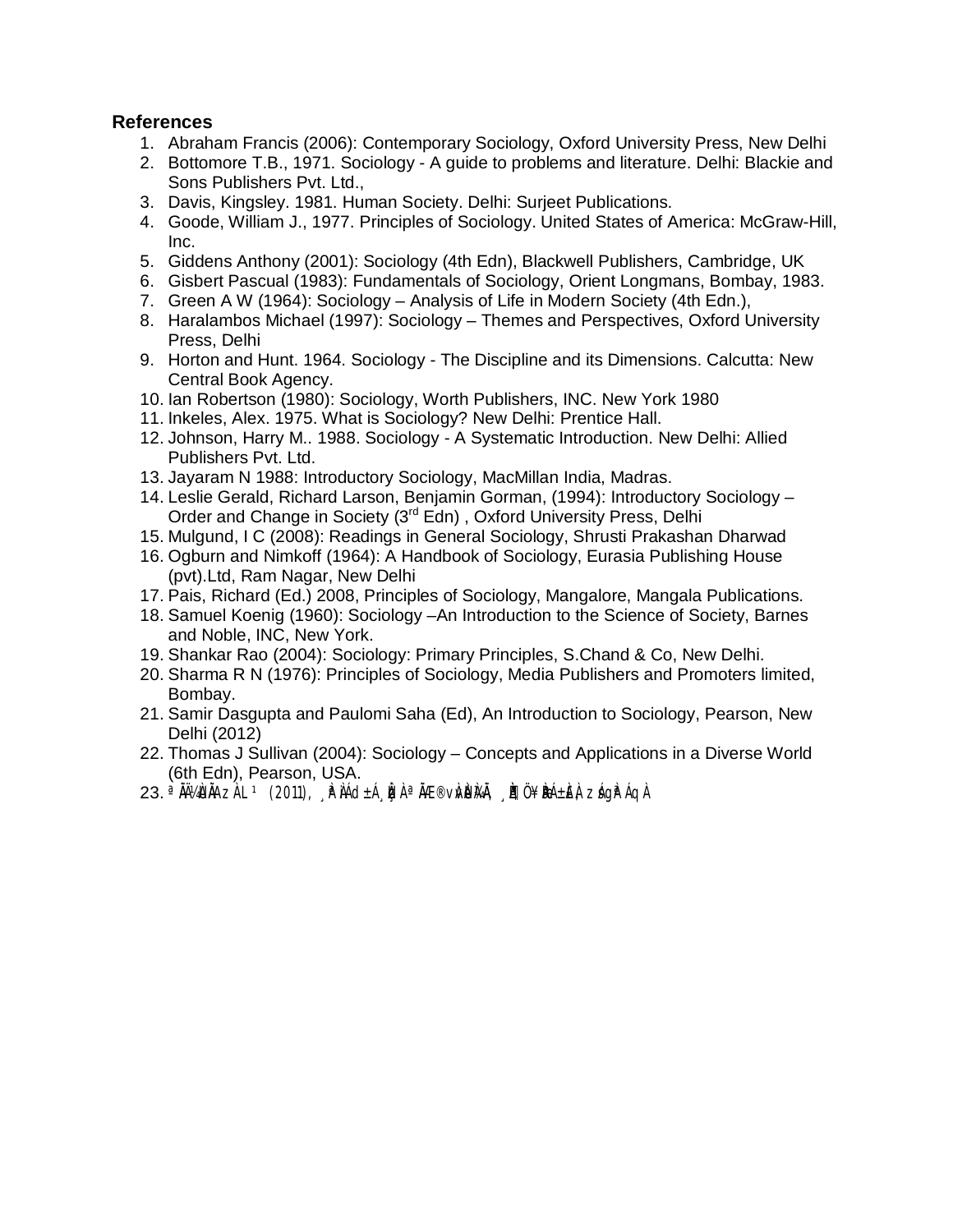#### **References**

- 1. Abraham Francis (2006): Contemporary Sociology, Oxford University Press, New Delhi
- 2. Bottomore T.B., 1971. Sociology A guide to problems and literature. Delhi: Blackie and Sons Publishers Pvt. Ltd.,
- 3. Davis, Kingsley. 1981. Human Society. Delhi: Surjeet Publications.
- 4. Goode, William J., 1977. Principles of Sociology. United States of America: McGraw-Hill, Inc.
- 5. Giddens Anthony (2001): Sociology (4th Edn), Blackwell Publishers, Cambridge, UK
- 6. Gisbert Pascual (1983): Fundamentals of Sociology, Orient Longmans, Bombay, 1983.
- 7. Green A W (1964): Sociology Analysis of Life in Modern Society (4th Edn.),
- 8. Haralambos Michael (1997): Sociology Themes and Perspectives, Oxford University Press, Delhi
- 9. Horton and Hunt. 1964. Sociology The Discipline and its Dimensions. Calcutta: New Central Book Agency.
- 10. Ian Robertson (1980): Sociology, Worth Publishers, INC. New York 1980
- 11. Inkeles, Alex. 1975. What is Sociology? New Delhi: Prentice Hall.
- 12. Johnson, Harry M.. 1988. Sociology A Systematic Introduction. New Delhi: Allied Publishers Pvt. Ltd.
- 13. Jayaram N 1988: Introductory Sociology, MacMillan India, Madras.
- 14. Leslie Gerald, Richard Larson, Benjamin Gorman, (1994): Introductory Sociology Order and Change in Society (3<sup>rd</sup> Edn), Oxford University Press, Delhi
- 15. Mulgund, I C (2008): Readings in General Sociology, Shrusti Prakashan Dharwad
- 16. Ogburn and Nimkoff (1964): A Handbook of Sociology, Eurasia Publishing House (pvt).Ltd, Ram Nagar, New Delhi
- 17. Pais, Richard (Ed.) 2008, Principles of Sociology, Mangalore, Mangala Publications.
- 18. Samuel Koenig (1960): Sociology –An Introduction to the Science of Society, Barnes and Noble, INC, New York.
- 19. Shankar Rao (2004): Sociology: Primary Principles, S.Chand & Co, New Delhi.
- 20. Sharma R N (1976): Principles of Sociology, Media Publishers and Promoters limited, Bombay.
- 21. Samir Dasgupta and Paulomi Saha (Ed), An Introduction to Sociology, Pearson, New Delhi (2012)
- 22. Thomas J Sullivan (2004): Sociology Concepts and Applications in a Diverse World (6th Edn), Pearson, USA.
- 23. <sup>a</sup> ÀļÙÄAzÀ L † (2011), ¸ Àº ÀÁd±Á¸Ì¢À ª ÄÆ®vÀ⁄Ù)ÀÄ, ¸ À¶Ü ¥ÌRÁ±ÈÀ, zÁg̪ÁqÀ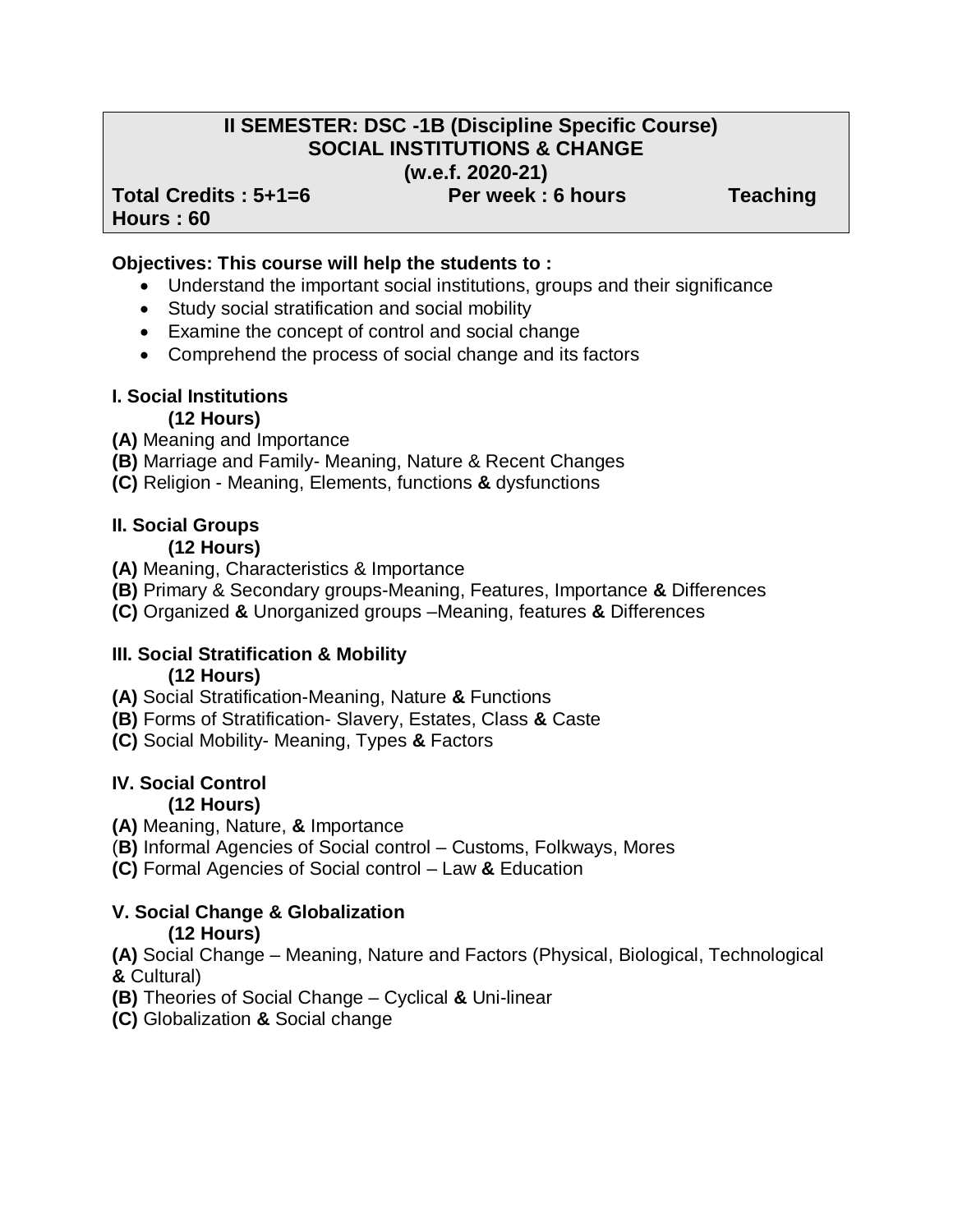# **II SEMESTER: DSC -1B (Discipline Specific Course) SOCIAL INSTITUTIONS & CHANGE (w.e.f. 2020-21)**

#### Total Credits : 5+1=6 **Per week : 6 hours Teaching Hours : 60**

## **Objectives: This course will help the students to :**

- Understand the important social institutions, groups and their significance
- Study social stratification and social mobility
- Examine the concept of control and social change
- Comprehend the process of social change and its factors

#### **I. Social Institutions (12 Hours)**

**(A)** Meaning and Importance

- **(B)** Marriage and Family- Meaning, Nature & Recent Changes
- **(C)** Religion Meaning, Elements, functions **&** dysfunctions

#### **II. Social Groups (12 Hours)**

- **(A)** Meaning, Characteristics & Importance
- **(B)** Primary & Secondary groups-Meaning, Features, Importance **&** Differences
- **(C)** Organized **&** Unorganized groups –Meaning, features **&** Differences

#### **III. Social Stratification & Mobility (12 Hours)**

- **(A)** Social Stratification-Meaning, Nature **&** Functions
- **(B)** Forms of Stratification- Slavery, Estates, Class **&** Caste
- **(C)** Social Mobility- Meaning, Types **&** Factors

#### **IV. Social Control (12 Hours)**

- **(A)** Meaning, Nature, **&** Importance
- (**B)** Informal Agencies of Social control Customs, Folkways, Mores
- **(C)** Formal Agencies of Social control Law **&** Education

# **V. Social Change & Globalization (12 Hours)**

**(A)** Social Change – Meaning, Nature and Factors (Physical, Biological, Technological **&** Cultural)

**(B)** Theories of Social Change – Cyclical **&** Uni-linear

**(C)** Globalization **&** Social change